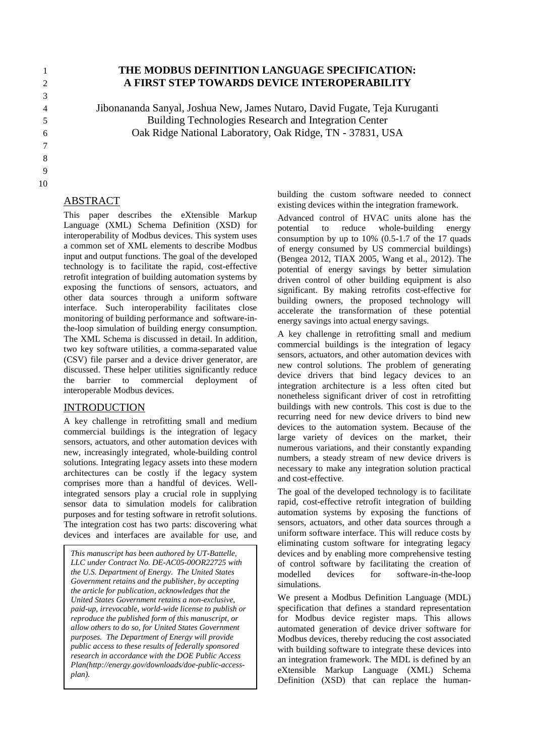# 3 7 8 9

#### 10

### ABSTRACT

This paper describes the eXtensible Markup Language (XML) Schema Definition (XSD) for interoperability of Modbus devices. This system uses a common set of XML elements to describe Modbus input and output functions. The goal of the developed technology is to facilitate the rapid, cost-effective retrofit integration of building automation systems by exposing the functions of sensors, actuators, and other data sources through a uniform software interface. Such interoperability facilitates close monitoring of building performance and software-inthe-loop simulation of building energy consumption. The XML Schema is discussed in detail. In addition, two key software utilities, a comma-separated value (CSV) file parser and a device driver generator, are discussed. These helper utilities significantly reduce the barrier to commercial deployment of interoperable Modbus devices.

#### INTRODUCTION

A key challenge in retrofitting small and medium commercial buildings is the integration of legacy sensors, actuators, and other automation devices with new, increasingly integrated, whole-building control solutions. Integrating legacy assets into these modern architectures can be costly if the legacy system comprises more than a handful of devices. Wellintegrated sensors play a crucial role in supplying sensor data to simulation models for calibration purposes and for testing software in retrofit solutions. The integration cost has two parts: discovering what devices and interfaces are available for use, and

*This manuscript has been authored by UT-Battelle, LLC under Contract No. DE-AC05-00OR22725 with the U.S. Department of Energy. The United States Government retains and the publisher, by accepting the article for publication, acknowledges that the United States Government retains a non-exclusive, paid-up, irrevocable, world-wide license to publish or reproduce the published form of this manuscript, or allow others to do so, for United States Government purposes. The Department of Energy will provide public access to these results of federally sponsored research in accordance with the DOE Public Access Plan(http://energy.gov/downloads/doe-public-accessplan).*

building the custom software needed to connect existing devices within the integration framework.

Advanced control of HVAC units alone has the potential to reduce whole-building energy consumption by up to 10% (0.5-1.7 of the 17 quads of energy consumed by US commercial buildings) (Bengea 2012, TIAX 2005, Wang et al., 2012). The potential of energy savings by better simulation driven control of other building equipment is also significant. By making retrofits cost-effective for building owners, the proposed technology will accelerate the transformation of these potential energy savings into actual energy savings.

A key challenge in retrofitting small and medium commercial buildings is the integration of legacy sensors, actuators, and other automation devices with new control solutions. The problem of generating device drivers that bind legacy devices to an integration architecture is a less often cited but nonetheless significant driver of cost in retrofitting buildings with new controls. This cost is due to the recurring need for new device drivers to bind new devices to the automation system. Because of the large variety of devices on the market, their numerous variations, and their constantly expanding numbers, a steady stream of new device drivers is necessary to make any integration solution practical and cost-effective.

The goal of the developed technology is to facilitate rapid, cost-effective retrofit integration of building automation systems by exposing the functions of sensors, actuators, and other data sources through a uniform software interface. This will reduce costs by eliminating custom software for integrating legacy devices and by enabling more comprehensive testing of control software by facilitating the creation of modelled devices for software-in-the-loop simulations.

We present a Modbus Definition Language (MDL) specification that defines a standard representation for Modbus device register maps. This allows automated generation of device driver software for Modbus devices, thereby reducing the cost associated with building software to integrate these devices into an integration framework. The MDL is defined by an eXtensible Markup Language (XML) Schema Definition (XSD) that can replace the human-

### 1 **THE MODBUS DEFINITION LANGUAGE SPECIFICATION:** 2 **A FIRST STEP TOWARDS DEVICE INTEROPERABILITY**

4 Jibonananda Sanyal, Joshua New, James Nutaro, David Fugate, Teja Kuruganti 5 Building Technologies Research and Integration Center 6 Oak Ridge National Laboratory, Oak Ridge, TN - 37831, USA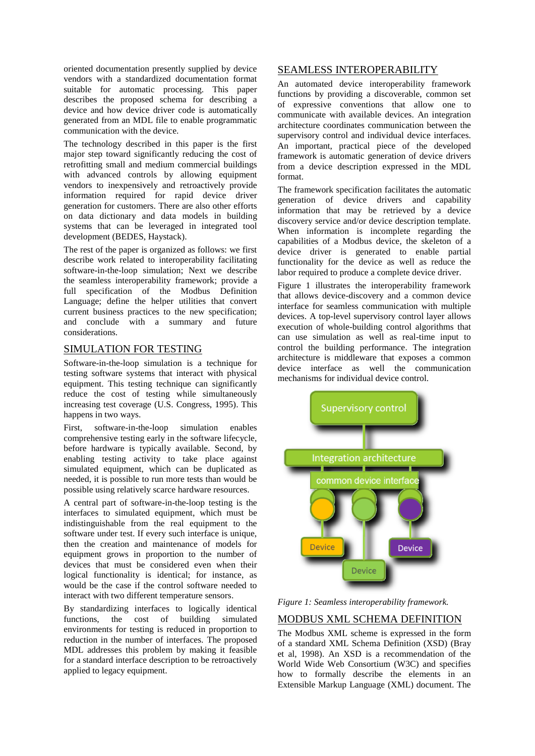oriented documentation presently supplied by device vendors with a standardized documentation format suitable for automatic processing. This paper describes the proposed schema for describing a device and how device driver code is automatically generated from an MDL file to enable programmatic communication with the device.

The technology described in this paper is the first major step toward significantly reducing the cost of retrofitting small and medium commercial buildings with advanced controls by allowing equipment vendors to inexpensively and retroactively provide information required for rapid device driver generation for customers. There are also other efforts on data dictionary and data models in building systems that can be leveraged in integrated tool development (BEDES, Haystack).

The rest of the paper is organized as follows: we first describe work related to interoperability facilitating software-in-the-loop simulation; Next we describe the seamless interoperability framework; provide a full specification of the Modbus Definition Language; define the helper utilities that convert current business practices to the new specification; and conclude with a summary and future considerations.

#### SIMULATION FOR TESTING

Software-in-the-loop simulation is a technique for testing software systems that interact with physical equipment. This testing technique can significantly reduce the cost of testing while simultaneously increasing test coverage (U.S. Congress, 1995). This happens in two ways.

First, software-in-the-loop simulation enables comprehensive testing early in the software lifecycle, before hardware is typically available. Second, by enabling testing activity to take place against simulated equipment, which can be duplicated as needed, it is possible to run more tests than would be possible using relatively scarce hardware resources.

A central part of software-in-the-loop testing is the interfaces to simulated equipment, which must be indistinguishable from the real equipment to the software under test. If every such interface is unique, then the creation and maintenance of models for equipment grows in proportion to the number of devices that must be considered even when their logical functionality is identical; for instance, as would be the case if the control software needed to interact with two different temperature sensors.

By standardizing interfaces to logically identical functions, the cost of building simulated environments for testing is reduced in proportion to reduction in the number of interfaces. The proposed MDL addresses this problem by making it feasible for a standard interface description to be retroactively applied to legacy equipment.

#### SEAMLESS INTEROPERABILITY

An automated device interoperability framework functions by providing a discoverable, common set of expressive conventions that allow one to communicate with available devices. An integration architecture coordinates communication between the supervisory control and individual device interfaces. An important, practical piece of the developed framework is automatic generation of device drivers from a device description expressed in the MDL format.

The framework specification facilitates the automatic generation of device drivers and capability information that may be retrieved by a device discovery service and/or device description template. When information is incomplete regarding the capabilities of a Modbus device, the skeleton of a device driver is generated to enable partial functionality for the device as well as reduce the labor required to produce a complete device driver.

Figure 1 illustrates the interoperability framework that allows device-discovery and a common device interface for seamless communication with multiple devices. A top-level supervisory control layer allows execution of whole-building control algorithms that can use simulation as well as real-time input to control the building performance. The integration architecture is middleware that exposes a common device interface as well the communication mechanisms for individual device control.



*Figure 1: Seamless interoperability framework.*

#### MODBUS XML SCHEMA DEFINITION

The Modbus XML scheme is expressed in the form of a standard XML Schema Definition (XSD) (Bray et al, 1998). An XSD is a recommendation of the World Wide Web Consortium (W3C) and specifies how to formally describe the elements in an Extensible Markup Language (XML) document. The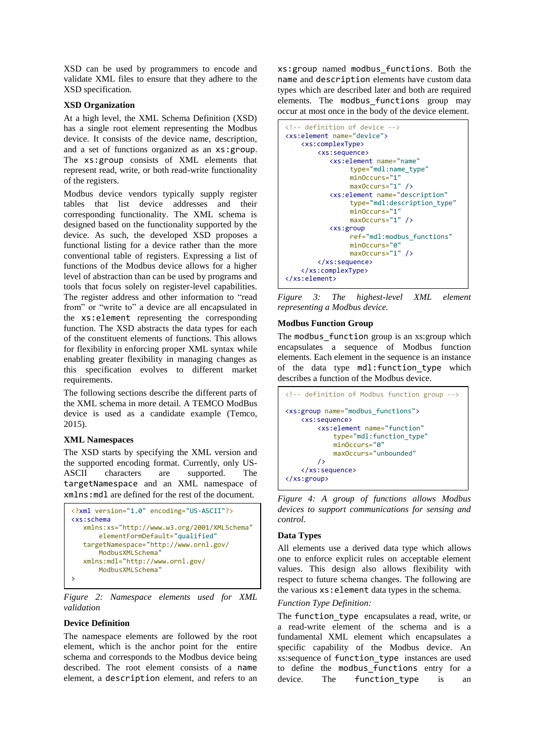XSD can be used by programmers to encode and validate XML files to ensure that they adhere to the XSD specification.

#### **XSD Organization**

At a high level, the XML Schema Definition (XSD) has a single root element representing the Modbus device. It consists of the device name, description, and a set of functions organized as an xs:group. The xs:group consists of XML elements that represent read, write, or both read-write functionality of the registers.

Modbus device vendors typically supply register tables that list device addresses and their corresponding functionality. The XML schema is designed based on the functionality supported by the device. As such, the developed XSD proposes a functional listing for a device rather than the more conventional table of registers. Expressing a list of functions of the Modbus device allows for a higher level of abstraction than can be used by programs and tools that focus solely on register-level capabilities. The register address and other information to "read from" or "write to" a device are all encapsulated in the xs:element representing the corresponding function. The XSD abstracts the data types for each of the constituent elements of functions. This allows for flexibility in enforcing proper XML syntax while enabling greater flexibility in managing changes as this specification evolves to different market requirements.

The following sections describe the different parts of the XML schema in more detail. A TEMCO ModBus device is used as a candidate example (Temco, 2015).

#### **XML Namespaces**

The XSD starts by specifying the XML version and the supported encoding format. Currently, only US-ASCII characters are supported. The targetNamespace and an XML namespace of xmlns:mdl are defined for the rest of the document.

```
<?xml version="1.0" encoding="US-ASCII"?>
<xs:schema
    xmlns:xs="http://www.w3.org/2001/XMLSchema"
        elementFormDefault="qualified" 
    targetNamespace="http://www.ornl.gov/
        ModbusXMLSchema"
    xmlns:mdl="http://www.ornl.gov/
        ModbusXMLSchema"
>
```
*Figure 2: Namespace elements used for XML validation*

#### **Device Definition**

The namespace elements are followed by the root element, which is the anchor point for the entire schema and corresponds to the Modbus device being described. The root element consists of a name element, a description element, and refers to an xs:group named modbus\_functions. Both the name and description elements have custom data types which are described later and both are required elements. The modbus\_functions group may occur at most once in the body of the device element.

```
<!-- definition of device -->
<xs:element name="device">
     <xs:complexType>
        <xs:sequence>
            <xs:element name="name" 
                 type="mdl:name_type"
                 minOccurs="1"
                 maxOccurs="1" />
             <xs:element name="description" 
                 type="mdl:description_type" 
                 minOccurs="1" 
                 maxOccurs="1" />
             <xs:group
                 ref="mdl:modbus_functions" 
                 minOccurs="0" 
                 maxOccurs="1" />
        </xs:sequence>
     </xs:complexType>
</xs:element>
```
*Figure 3: The highest-level XML element representing a Modbus device.*

#### **Modbus Function Group**

The modbus\_function group is an xs:group which encapsulates a sequence of Modbus function elements. Each element in the sequence is an instance of the data type mdl:function\_type which describes a function of the Modbus device.

```
<!-- definition of Modbus function group -->
<xs:group name="modbus_functions">
     <xs:sequence>
        <xs:element name="function" 
             type="mdl:function_type"
             minOccurs="0" 
             maxOccurs="unbounded"
        />
     </xs:sequence>
</xs:group>
```
*Figure 4: A group of functions allows Modbus devices to support communications for sensing and control.*

#### **Data Types**

All elements use a derived data type which allows one to enforce explicit rules on acceptable element values. This design also allows flexibility with respect to future schema changes. The following are the various xs:element data types in the schema.

#### *Function Type Definition:*

The function\_type encapsulates a read, write, or a read-write element of the schema and is a fundamental XML element which encapsulates a specific capability of the Modbus device. An xs:sequence of function\_type instances are used to define the modbus\_functions entry for a device. The function type is an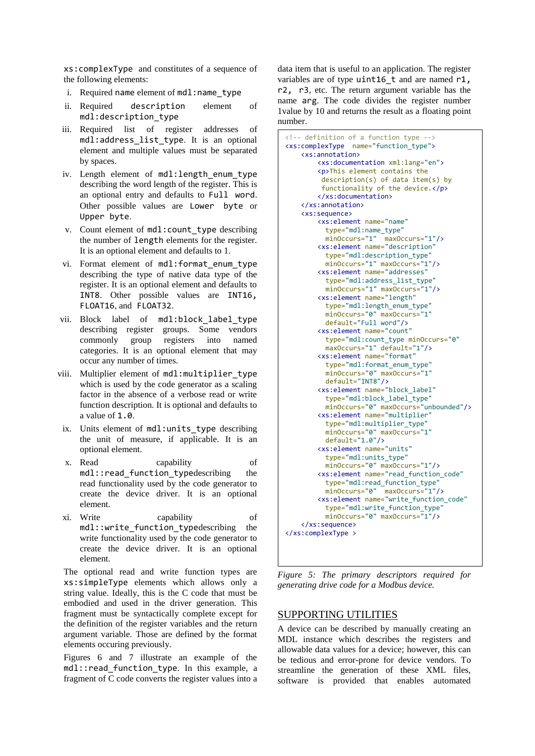xs:complexType and constitutes of a sequence of the following elements:

- i. Required name element of mdl:name\_type
- ii. Required description element of mdl:description\_type
- iii. Required list of register addresses of mdl:address\_list\_type. It is an optional element and multiple values must be separated by spaces.
- iv. Length element of mdl: length enum type describing the word length of the register. This is an optional entry and defaults to Full word. Other possible values are Lower byte or Upper byte.
- v. Count element of mdl:count\_type describing the number of length elements for the register. It is an optional element and defaults to 1.
- vi. Format element of mdl:format enum type describing the type of native data type of the register. It is an optional element and defaults to INT8. Other possible values are INT16, FLOAT16, and FLOAT32.
- vii. Block label of mdl:block\_label\_type describing register groups. Some vendors commonly group registers into named categories. It is an optional element that may occur any number of times.
- viii. Multiplier element of mdl:multiplier\_type which is used by the code generator as a scaling factor in the absence of a verbose read or write function description. It is optional and defaults to a value of 1.0.
- ix. Units element of mdl:units type describing the unit of measure, if applicable. It is an optional element.
- x. Read capability of mdl::read\_function\_typedescribing the read functionality used by the code generator to create the device driver. It is an optional element.
- xi. Write capability of mdl::write\_function\_typedescribing the write functionality used by the code generator to create the device driver. It is an optional element.

The optional read and write function types are xs:simpleType elements which allows only a string value. Ideally, this is the C code that must be embodied and used in the driver generation. This fragment must be syntactically complete except for the definition of the register variables and the return argument variable. Those are defined by the format elements occuring previously.

Figures 6 and 7 illustrate an example of the mdl::read\_function\_type. In this example, a fragment of C code converts the register values into a data item that is useful to an application. The register variables are of type uint16 t and are named r1, r2, r3, etc. The return argument variable has the name arg. The code divides the register number 1value by 10 and returns the result as a floating point number.

```
<!-- definition of a function type -->
<xs:complexType name="function_type">
     <xs:annotation>
        <xs:documentation xml:lang="en">
        <p>This element contains the 
         description(s) of data item(s) by 
         functionality of the device.</p>
        </xs:documentation>
     </xs:annotation>
     <xs:sequence>
        <xs:element name="name" 
           type="mdl:name_type"
           minOccurs="1" maxOccurs="1"/>
        <xs:element name="description" 
           type="mdl:description_type" 
           minOccurs="1" maxOccurs="1"/>
        <xs:element name="addresses" 
          type="mdl:address_list_type"
          minOccurs="1" maxOccurs="1"/>
        <xs:element name="length" 
           type="mdl:length_enum_type" 
           minOccurs="0" maxOccurs="1"
           default="Full word"/>
        <xs:element name="count" 
           type="mdl:count_type minOccurs="0"
           maxOccurs="1" default="1"/>
        <xs:element name="format" 
          type="mdl:format_enum_type"
          minOccurs="0" maxOccurs="1"
          default="INT8"/>
        <xs:element name="block_label" 
           type="mdl:block_label_type"
           minOccurs="0" maxOccurs="unbounded"/>
        <xs:element name="multiplier" 
           type="mdl:multiplier_type"
           minOccurs="0" maxOccurs="1"
           default="1.0"/>
        <xs:element name="units" 
           type="mdl:units_type"
           minOccurs="0" maxOccurs="1"/>
        <xs:element name="read_function_code"
           type="mdl:read_function_type"
           minOccurs="0" maxOccurs="1"/>
        <xs:element name="write_function_code"
           type="mdl:write_function_type"
           minOccurs="0" maxOccurs="1"/>
     </xs:sequence>
</xs:complexType >
```
*Figure 5: The primary descriptors required for generating drive code for a Modbus device.*

#### SUPPORTING UTILITIES

A device can be described by manually creating an MDL instance which describes the registers and allowable data values for a device; however, this can be tedious and error-prone for device vendors. To streamline the generation of these XML files, software is provided that enables automated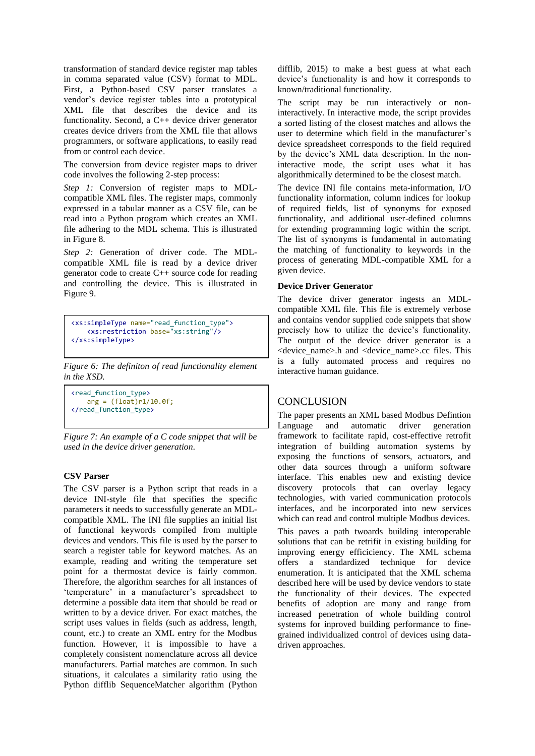transformation of standard device register map tables in comma separated value (CSV) format to MDL. First, a Python-based CSV parser translates a vendor's device register tables into a prototypical XML file that describes the device and its functionality. Second, a C++ device driver generator creates device drivers from the XML file that allows programmers, or software applications, to easily read from or control each device.

The conversion from device register maps to driver code involves the following 2-step process:

*Step 1:* Conversion of register maps to MDLcompatible XML files. The register maps, commonly expressed in a tabular manner as a CSV file, can be read into a Python program which creates an XML file adhering to the MDL schema. This is illustrated in Figure 8.

*Step 2:* Generation of driver code. The MDLcompatible XML file is read by a device driver generator code to create C++ source code for reading and controlling the device. This is illustrated in Figure 9.

```
<xs:simpleType name="read_function_type">
     <xs:restriction base="xs:string"/>
</xs:simpleType>
```
*Figure 6: The definiton of read functionality element in the XSD.*

```
<read_function_type>
   arg = (float)r1/10.0f;</read_function_type>
```
*Figure 7: An example of a C code snippet that will be used in the device driver generation.*

#### **CSV Parser**

The CSV parser is a Python script that reads in a device INI-style file that specifies the specific parameters it needs to successfully generate an MDLcompatible XML. The INI file supplies an initial list of functional keywords compiled from multiple devices and vendors. This file is used by the parser to search a register table for keyword matches. As an example, reading and writing the temperature set point for a thermostat device is fairly common. Therefore, the algorithm searches for all instances of 'temperature' in a manufacturer's spreadsheet to determine a possible data item that should be read or written to by a device driver. For exact matches, the script uses values in fields (such as address, length, count, etc.) to create an XML entry for the Modbus function. However, it is impossible to have a completely consistent nomenclature across all device manufacturers. Partial matches are common. In such situations, it calculates a similarity ratio using the Python difflib SequenceMatcher algorithm (Python difflib, 2015) to make a best guess at what each device's functionality is and how it corresponds to known/traditional functionality.

The script may be run interactively or noninteractively. In interactive mode, the script provides a sorted listing of the closest matches and allows the user to determine which field in the manufacturer's device spreadsheet corresponds to the field required by the device's XML data description. In the noninteractive mode, the script uses what it has algorithmically determined to be the closest match.

The device INI file contains meta-information, I/O functionality information, column indices for lookup of required fields, list of synonyms for exposed functionality, and additional user-defined columns for extending programming logic within the script. The list of synonyms is fundamental in automating the matching of functionality to keywords in the process of generating MDL-compatible XML for a given device.

#### **Device Driver Generator**

The device driver generator ingests an MDLcompatible XML file. This file is extremely verbose and contains vendor supplied code snippets that show precisely how to utilize the device's functionality. The output of the device driver generator is a <device\_name>.h and <device\_name>.cc files. This is a fully automated process and requires no interactive human guidance.

#### **CONCLUSION**

The paper presents an XML based Modbus Defintion Language and automatic driver generation framework to facilitate rapid, cost-effective retrofit integration of building automation systems by exposing the functions of sensors, actuators, and other data sources through a uniform software interface. This enables new and existing device discovery protocols that can overlay legacy technologies, with varied communication protocols interfaces, and be incorporated into new services which can read and control multiple Modbus devices.

This paves a path twoards building interoperable solutions that can be retrifit in existing building for improving energy efficiciency. The XML schema offers a standardized technique for device enumeration. It is anticipated that the XML schema described here will be used by device vendors to state the functionality of their devices. The expected benefits of adoption are many and range from increased penetration of whole building control systems for inproved building performance to finegrained individualized control of devices using datadriven approaches.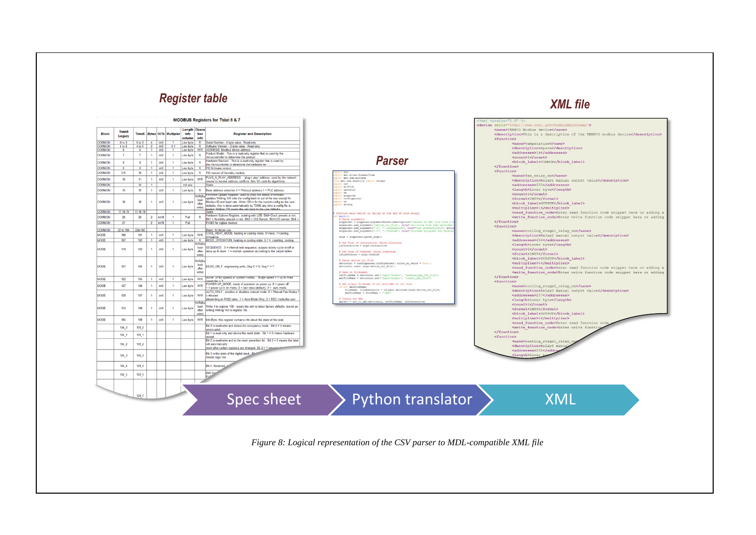## *XML file Register table*

#### **MODBUS Registers for Tstat 6 & 7**

| <b>Block</b>  | <b>Tstat5</b><br>Legacy | <b>Tstat6</b>  |                         |                  | <b>Bytes INTs Multipler</b> | Length<br>info<br>column | Opera<br>tion<br>info                    | <b>Register and Description</b>                                                                                                                                                                                                                                                                                                                                 |
|---------------|-------------------------|----------------|-------------------------|------------------|-----------------------------|--------------------------|------------------------------------------|-----------------------------------------------------------------------------------------------------------------------------------------------------------------------------------------------------------------------------------------------------------------------------------------------------------------------------------------------------------------|
| <b>COMMON</b> | 0 to 3                  | 0 to 3         | 4                       | int8             | ٦                           | Low byte                 | R                                        | Serial Number - 4 byte value. Read-only                                                                                                                                                                                                                                                                                                                         |
| <b>COMMON</b> | 4 to 5                  | 4 to 5         | $\overline{\mathbf{2}}$ | int8             | 0.1                         | Low byte                 | $\overline{\mathsf{R}}$                  | Software Version - 2 byte value. Read-only                                                                                                                                                                                                                                                                                                                      |
| <b>COMMON</b> | 6                       | 6              | Ŧ                       | int8             | 1                           | Low byte                 | W/R                                      | ADDRESS. Modbus device address                                                                                                                                                                                                                                                                                                                                  |
| <b>COMMON</b> | 7                       | $\overline{7}$ | 1                       | int8             | 1                           | Low byte                 | R                                        | Product Model. This is a read-only register that is used by the<br>microcontroller to determine the product                                                                                                                                                                                                                                                     |
| <b>COMMON</b> | 8                       | 8              | 1                       | int8             | 1                           | Low byte                 | R                                        | Hardware Revision. This is a read-only register that is used by<br>the microcontroller to determine the hardware rev                                                                                                                                                                                                                                            |
| <b>COMMON</b> | 9                       | $\overline{9}$ | Ŧ                       | int8             | Ŧ                           | Low byte                 | $\overline{\mathsf{R}}$                  | PIC firmware version                                                                                                                                                                                                                                                                                                                                            |
| <b>COMMON</b> | 515                     | 10             | 1                       | int8             | 1                           | Low byte                 | R                                        | PIC version of Humidity module                                                                                                                                                                                                                                                                                                                                  |
| COMMON        | 10                      | 11             | 1                       | int8             | 1                           | Low byte                 | W/R                                      | PLUG_N_PLAY_ADDRESS, 'plug n play' address, used by the network<br>master to resolve address conflicts. See VC code for algorithms                                                                                                                                                                                                                              |
| <b>COMMON</b> |                         | 14             | ī                       |                  |                             | not use                  |                                          | Spare                                                                                                                                                                                                                                                                                                                                                           |
| <b>COMMON</b> | 15                      | 15             | 1                       | int8             | 1                           | Low byte                 | R                                        | Base address selection.0 = Protocol address,1 = PLC address.                                                                                                                                                                                                                                                                                                    |
| <b>COMMON</b> | 16                      | 16             | 1                       | int8             | 1                           | Low byte                 | <b>W/R/Re</b><br>boot<br>after<br>write) | Firmware Update Register, used to show the status of firmware<br>updates. Writing 143 sets the config back to out of the box except for<br>Modbus ID and baud rate. Write 159 to fix the current config as the user<br>defaults, this is done automatically by T3000 any time a config file is<br>loaded. Writing 175 resets the unit hack to the user defaults |
| <b>COMMON</b> | 17, 18, 19              | 17, 18, 19     |                         |                  |                             |                          |                                          | Spare                                                                                                                                                                                                                                                                                                                                                           |
| COMMON        | 20                      | 20             | $\overline{\mathbf{2}}$ | int16            | 1                           | Full                     | R                                        | Hardware Options Register, starting with LSB: Bit0=Clock present or not.<br>Bit1 = Humidity present or not. Bit2 = C02 Sensor. Bit3=CO sensor. Bit4 =                                                                                                                                                                                                           |
| <b>COMMON</b> | 21                      |                | $\overline{2}$          | int 16           | ī                           | Full                     |                                          | PANID for zigbee devices                                                                                                                                                                                                                                                                                                                                        |
| <b>COMMON</b> | 22 to 100               | 22to 100       |                         |                  |                             |                          |                                          |                                                                                                                                                                                                                                                                                                                                                                 |
| <b>MODE</b>   | 106                     | 101            | 1                       | int <sub>R</sub> |                             |                          | W/R                                      | Blank, for future use<br>COOL HEAT MODE, heating or cooling mode. 0=none, 1=cooling,                                                                                                                                                                                                                                                                            |
|               |                         |                |                         |                  | 1                           | Low byte                 |                                          | 2=heating                                                                                                                                                                                                                                                                                                                                                       |
| <b>MODE</b>   | 107                     | 102            | Ŧ                       | int8             | Ŧ                           | Low byte                 | $\overline{\mathsf{R}}$<br>W/R/Re        | MODE OPERATION, heating or cooling state: 0-7 = coasting, cooling                                                                                                                                                                                                                                                                                               |
| <b>MODE</b>   | 118                     | 103            | 1                       | int8             | 1                           | Low byte                 | boot<br>after<br>write)                  | SEQUENCE, 0 = internal test sequence, outputs slowly cycle on/off or<br>ramp up & down. 1 = normal, operation according to the output tables.                                                                                                                                                                                                                   |
| <b>MODE</b>   | 121                     | 104            | 1                       | int8             | 1                           | Low byte                 | W/R/Re<br>boot<br>after<br>write)        | DEGC_OR_F, engineering units, Deg C = 0, Deg F = 1                                                                                                                                                                                                                                                                                                              |
| <b>MODE</b>   | 122                     | 105            | 1                       | int8             | 1                           | Low byte                 | W/R                                      | numer of fan speeds or system modes Single speed = 1 up to three<br>sneed $fan = 3$                                                                                                                                                                                                                                                                             |
| <b>MODE</b>   | 127                     | 106            | 1                       | int8             | 1                           | Low byte                 | W/R                                      | POWER UP MODE, mode of operation on power up. 0 = power off.<br>$1 = power up in on mode, 2 = last value (default), 3 = auto mode.$                                                                                                                                                                                                                             |
| <b>MODE</b>   | 129                     | 107            | 1                       | int <sub>8</sub> | 1                           | Low byte                 | W/R                                      | AUTO ONLY . enables or disables manual mode. 0 = Manual Fan Modes 1<br>x Allowed<br>(depending on R122 value, 1 = Auto Mode Only, 2 = DDC mode, the user                                                                                                                                                                                                        |
| <b>MODE</b>   | 134                     | 108            | 1                       | int8             | 1                           | Low byte                 | W/R(Re<br>boot<br>after<br>write)        | Write 1 to register 108 - resets the unit to latest factory defaults. (same as<br>writing Writing 143 to register 16)                                                                                                                                                                                                                                           |
| <b>MODE</b>   | 184                     | 109            | 1                       | int8             | 1                           | Low byte                 | W/R                                      | Info Byte, this register contains info about the state of the tstat.                                                                                                                                                                                                                                                                                            |
|               | 184 0                   | 109 0          |                         |                  |                             |                          |                                          | Bit 0 is read/write and shows the occupancy mode. Bit $0 = 0$ means<br>unoccupied.                                                                                                                                                                                                                                                                              |
|               | 184 1                   | 109 1          |                         |                  |                             |                          |                                          | Bit 1 is read only and shows the reset state. Bit $1 = 0$ means hardware<br>restart.                                                                                                                                                                                                                                                                            |
|               | 184 2                   | 109 2          |                         |                  |                             |                          |                                          | Bit 2 is read/write and is the reset prevention bit. Bit 2 = 0 means the tstat<br>will automatically<br>reset after certain registers are changed. Bit 2 = 1 prevente al                                                                                                                                                                                        |
|               | 184 3                   | 109 3          |                         |                  |                             |                          |                                          | Bit 3 is the state of the digital input. Bits<br>means logic low.                                                                                                                                                                                                                                                                                               |
|               | 184 4                   | 109 4          |                         |                  |                             |                          |                                          | Bit 4: Reserved,                                                                                                                                                                                                                                                                                                                                                |
|               | 184 5                   | 109 5          |                         |                  |                             |                          |                                          | Bit5 <sub>0</sub><br>PL                                                                                                                                                                                                                                                                                                                                         |
|               |                         |                |                         |                  |                             |                          |                                          |                                                                                                                                                                                                                                                                                                                                                                 |
|               | $\sim$                  | 109 7          |                         |                  |                             |                          |                                          | Spec sheet                                                                                                                                                                                                                                                                                                                                                      |

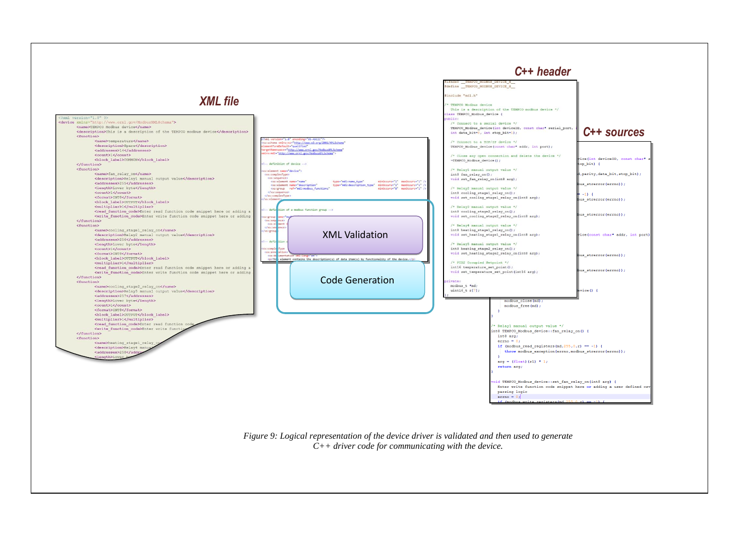

*Figure 9: Logical representation of the device driver is validated and then used to generate C++ driver code for communicating with the device.*